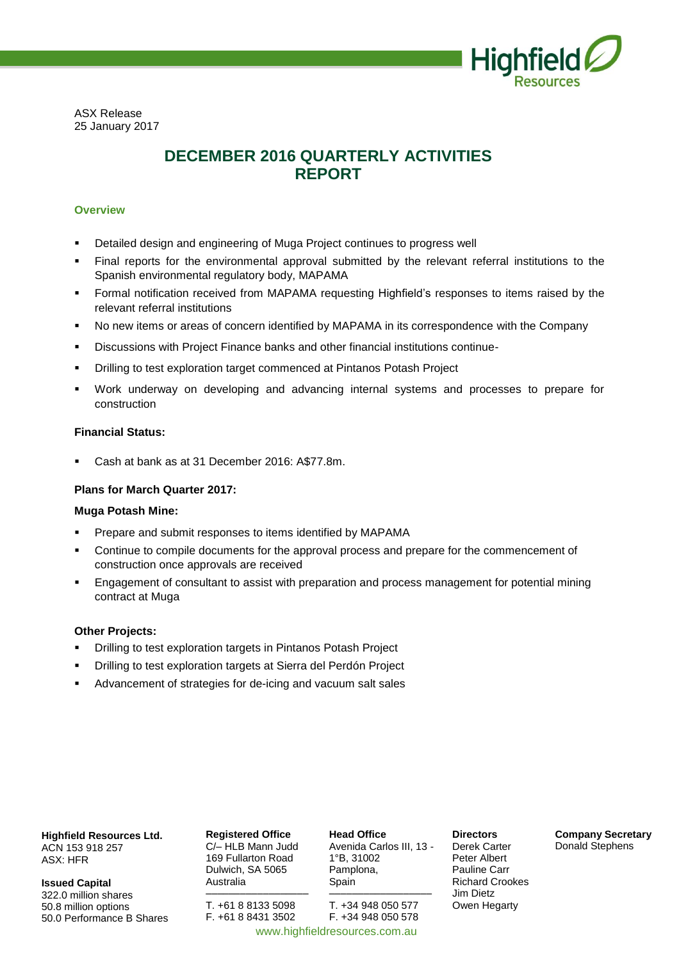

ASX Release 25 January 2017

## **DECEMBER 2016 QUARTERLY ACTIVITIES REPORT**

#### **Overview**

- Detailed design and engineering of Muga Project continues to progress well
- Final reports for the environmental approval submitted by the relevant referral institutions to the Spanish environmental regulatory body, MAPAMA
- Formal notification received from MAPAMA requesting Highfield's responses to items raised by the relevant referral institutions
- No new items or areas of concern identified by MAPAMA in its correspondence with the Company
- Discussions with Project Finance banks and other financial institutions continue-
- Drilling to test exploration target commenced at Pintanos Potash Project
- Work underway on developing and advancing internal systems and processes to prepare for construction

#### **Financial Status:**

Cash at bank as at 31 December 2016: A\$77.8m.

## **Plans for March Quarter 2017:**

#### **Muga Potash Mine:**

- Prepare and submit responses to items identified by MAPAMA
- Continue to compile documents for the approval process and prepare for the commencement of construction once approvals are received
- Engagement of consultant to assist with preparation and process management for potential mining contract at Muga

#### **Other Projects:**

- Drilling to test exploration targets in Pintanos Potash Project
- Drilling to test exploration targets at Sierra del Perdón Project
- Advancement of strategies for de-icing and vacuum salt sales

**Highfield Resources Ltd.** ACN 153 918 257 ASX: HFR

**Issued Capital** 322.0 million shares 50.8 million options 50.0 Performance B Shares **Registered Office** C/– HLB Mann Judd 169 Fullarton Road Dulwich, SA 5065 Australia

–––––––––––––––––– T. +61 8 8133 5098 F. +61 8 8431 3502

**Head Office** Avenida Carlos III, 13 - 1°B, 31002 Pamplona, Spain

–––––––––––––––––– T. +34 948 050 577 F. +34 948 050 578 www.highfieldresources.com.au

**Directors** Derek Carter Peter Albert Pauline Carr Richard Crookes Jim Dietz Owen Hegarty

**Company Secretary** Donald Stephens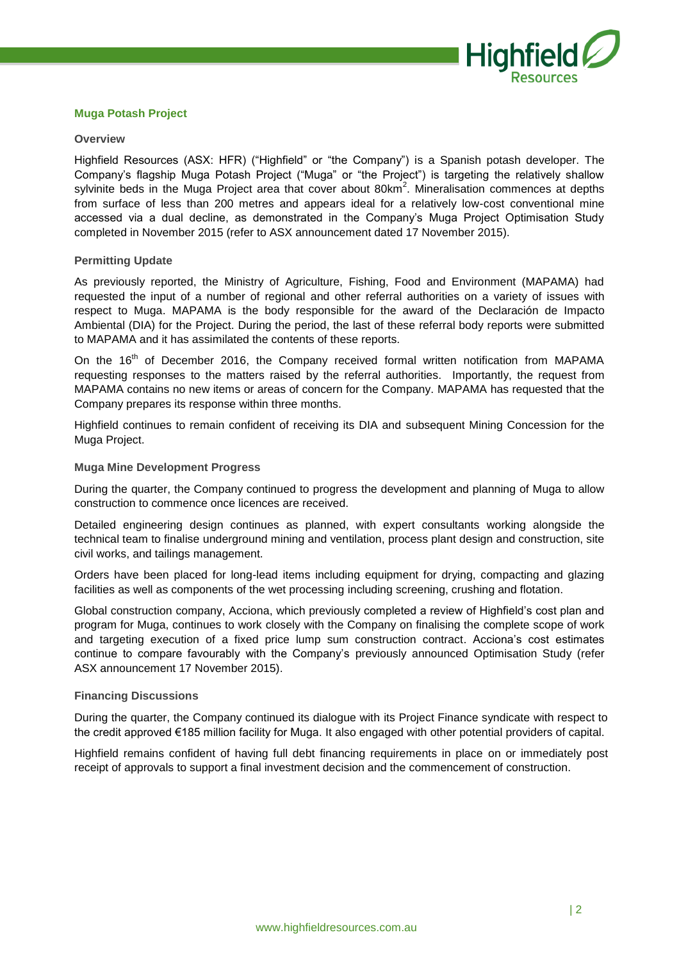

## **Muga Potash Project**

#### **Overview**

Highfield Resources (ASX: HFR) ("Highfield" or "the Company") is a Spanish potash developer. The Company's flagship Muga Potash Project ("Muga" or "the Project") is targeting the relatively shallow sylvinite beds in the Muga Project area that cover about 80km<sup>2</sup>. Mineralisation commences at depths from surface of less than 200 metres and appears ideal for a relatively low-cost conventional mine accessed via a dual decline, as demonstrated in the Company's Muga Project Optimisation Study completed in November 2015 (refer to ASX announcement dated 17 November 2015).

#### **Permitting Update**

As previously reported, the Ministry of Agriculture, Fishing, Food and Environment (MAPAMA) had requested the input of a number of regional and other referral authorities on a variety of issues with respect to Muga. MAPAMA is the body responsible for the award of the Declaración de Impacto Ambiental (DIA) for the Project. During the period, the last of these referral body reports were submitted to MAPAMA and it has assimilated the contents of these reports.

On the 16<sup>th</sup> of December 2016, the Company received formal written notification from MAPAMA requesting responses to the matters raised by the referral authorities. Importantly, the request from MAPAMA contains no new items or areas of concern for the Company. MAPAMA has requested that the Company prepares its response within three months.

Highfield continues to remain confident of receiving its DIA and subsequent Mining Concession for the Muga Project.

#### **Muga Mine Development Progress**

During the quarter, the Company continued to progress the development and planning of Muga to allow construction to commence once licences are received.

Detailed engineering design continues as planned, with expert consultants working alongside the technical team to finalise underground mining and ventilation, process plant design and construction, site civil works, and tailings management.

Orders have been placed for long-lead items including equipment for drying, compacting and glazing facilities as well as components of the wet processing including screening, crushing and flotation.

Global construction company, Acciona, which previously completed a review of Highfield's cost plan and program for Muga, continues to work closely with the Company on finalising the complete scope of work and targeting execution of a fixed price lump sum construction contract. Acciona's cost estimates continue to compare favourably with the Company's previously announced Optimisation Study (refer ASX announcement 17 November 2015).

#### **Financing Discussions**

During the quarter, the Company continued its dialogue with its Project Finance syndicate with respect to the credit approved €185 million facility for Muga. It also engaged with other potential providers of capital.

Highfield remains confident of having full debt financing requirements in place on or immediately post receipt of approvals to support a final investment decision and the commencement of construction.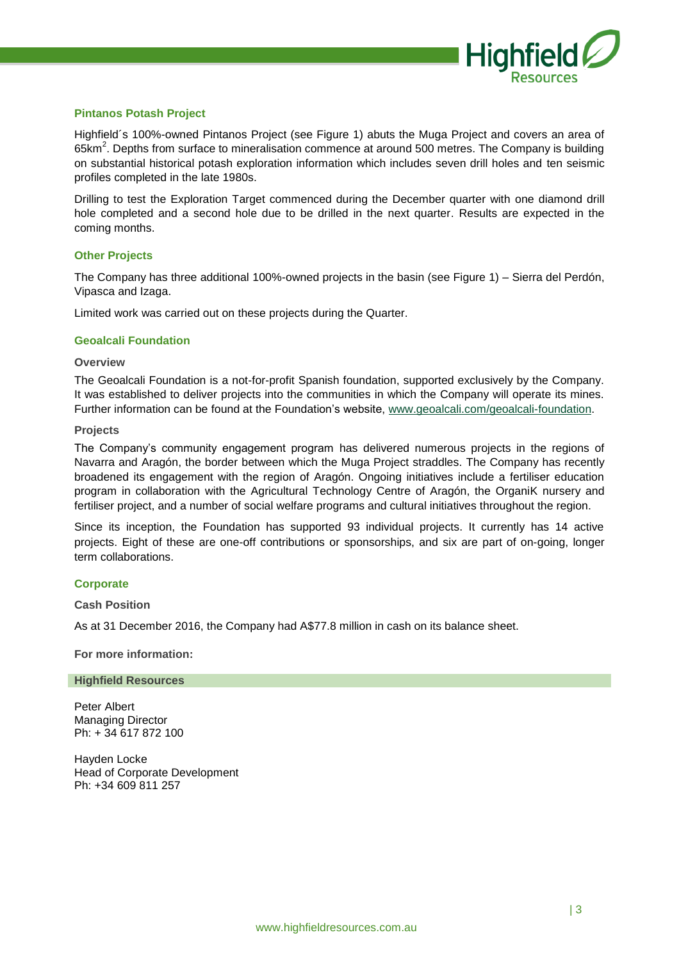

## **Pintanos Potash Project**

Highfield´s 100%-owned Pintanos Project (see Figure 1) abuts the Muga Project and covers an area of 65km<sup>2</sup>. Depths from surface to mineralisation commence at around 500 metres. The Company is building on substantial historical potash exploration information which includes seven drill holes and ten seismic profiles completed in the late 1980s.

Drilling to test the Exploration Target commenced during the December quarter with one diamond drill hole completed and a second hole due to be drilled in the next quarter. Results are expected in the coming months.

#### **Other Projects**

The Company has three additional 100%-owned projects in the basin (see Figure 1) – Sierra del Perdón, Vipasca and Izaga.

Limited work was carried out on these projects during the Quarter.

#### **Geoalcali Foundation**

#### **Overview**

The Geoalcali Foundation is a not-for-profit Spanish foundation, supported exclusively by the Company. It was established to deliver projects into the communities in which the Company will operate its mines. Further information can be found at the Foundation's website, [www.geoalcali.com/geoalcali-foundation.](http://www.geoalcali.com/geoalcali-foundation)

#### **Projects**

The Company's community engagement program has delivered numerous projects in the regions of Navarra and Aragón, the border between which the Muga Project straddles. The Company has recently broadened its engagement with the region of Aragón. Ongoing initiatives include a fertiliser education program in collaboration with the Agricultural Technology Centre of Aragón, the OrganiK nursery and fertiliser project, and a number of social welfare programs and cultural initiatives throughout the region.

Since its inception, the Foundation has supported 93 individual projects. It currently has 14 active projects. Eight of these are one-off contributions or sponsorships, and six are part of on-going, longer term collaborations.

#### **Corporate**

**Cash Position**

As at 31 December 2016, the Company had A\$77.8 million in cash on its balance sheet.

**For more information:**

#### **Highfield Resources**

Peter Albert Managing Director Ph: + 34 617 872 100

Hayden Locke Head of Corporate Development Ph: +34 609 811 257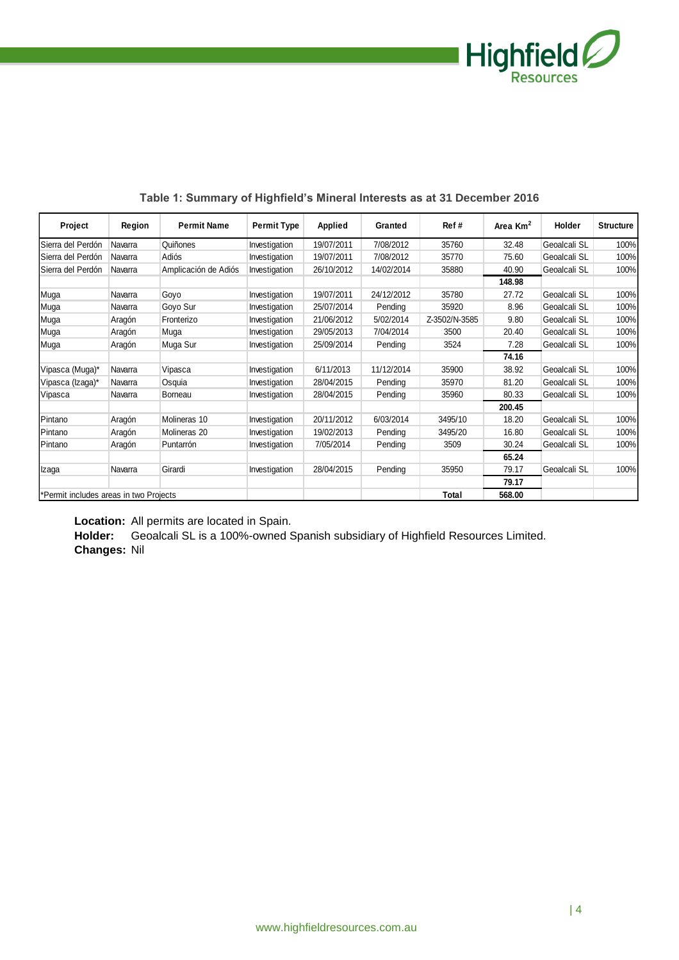

| Project                                | Region  | <b>Permit Name</b>   | <b>Permit Type</b> | <b>Applied</b> | Granted    | Ref#          | Area Km <sup>2</sup> | Holder       | <b>Structure</b> |
|----------------------------------------|---------|----------------------|--------------------|----------------|------------|---------------|----------------------|--------------|------------------|
| Sierra del Perdón                      | Navarra | Quiñones             | Investigation      | 19/07/2011     | 7/08/2012  | 35760         | 32.48                | Geoalcali SL | 100%             |
| Sierra del Perdón                      | Navarra | Adiós                | Investigation      | 19/07/2011     | 7/08/2012  | 35770         | 75.60                | Geoalcali SL | 100%             |
| Sierra del Perdón                      | Navarra | Amplicación de Adiós | Investigation      | 26/10/2012     | 14/02/2014 | 35880         | 40.90                | Geoalcali SL | 100%             |
|                                        |         |                      |                    |                |            |               | 148.98               |              |                  |
| Muga                                   | Navarra | Goyo                 | Investigation      | 19/07/2011     | 24/12/2012 | 35780         | 27.72                | Geoalcali SL | 100%             |
| Muga                                   | Navarra | Goyo Sur             | Investigation      | 25/07/2014     | Pendina    | 35920         | 8.96                 | Geoalcali SL | 100%             |
| Muga                                   | Aragón  | Fronterizo           | Investigation      | 21/06/2012     | 5/02/2014  | Z-3502/N-3585 | 9.80                 | Geoalcali SL | 100%             |
| Muga                                   | Aragón  | Muga                 | Investigation      | 29/05/2013     | 7/04/2014  | 3500          | 20.40                | Geoalcali SL | 100%             |
| Muga                                   | Aragón  | Muga Sur             | Investigation      | 25/09/2014     | Pendina    | 3524          | 7.28                 | Geoalcali SL | 100%             |
|                                        |         |                      |                    |                |            |               | 74.16                |              |                  |
| Vipasca (Muga)*                        | Navarra | Vipasca              | Investigation      | 6/11/2013      | 11/12/2014 | 35900         | 38.92                | Geoalcali SL | 100%             |
| Vipasca (Izaga)*                       | Navarra | Osquia               | Investigation      | 28/04/2015     | Pending    | 35970         | 81.20                | Geoalcali SL | 100%             |
| Vipasca                                | Navarra | Borneau              | Investigation      | 28/04/2015     | Pending    | 35960         | 80.33                | Geoalcali SL | 100%             |
|                                        |         |                      |                    |                |            |               | 200.45               |              |                  |
| Pintano                                | Aragón  | Molineras 10         | Investigation      | 20/11/2012     | 6/03/2014  | 3495/10       | 18.20                | Geoalcali SL | 100%             |
| Pintano                                | Aragón  | Molineras 20         | Investigation      | 19/02/2013     | Pendina    | 3495/20       | 16.80                | Geoalcali SL | 100%             |
| Pintano                                | Aragón  | Puntarrón            | Investigation      | 7/05/2014      | Pendina    | 3509          | 30.24                | Geoalcali SL | 100%             |
|                                        |         |                      |                    |                |            |               | 65.24                |              |                  |
| Izaga                                  | Navarra | Girardi              | Investigation      | 28/04/2015     | Pending    | 35950         | 79.17                | Geoalcali SL | 100%             |
|                                        |         |                      |                    |                |            |               | 79.17                |              |                  |
| *Permit includes areas in two Projects |         |                      |                    |                |            | Total         | 568.00               |              |                  |

## **Table 1: Summary of Highfield's Mineral Interests as at 31 December 2016**

**Location:** All permits are located in Spain.

**Holder:** Geoalcali SL is a 100%-owned Spanish subsidiary of Highfield Resources Limited. **Changes:** Nil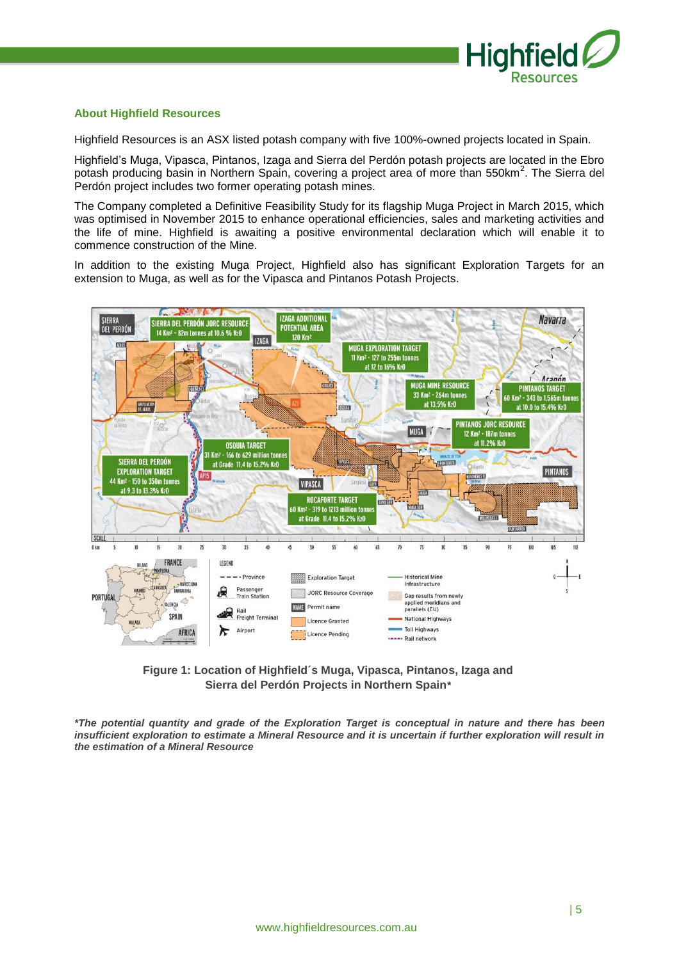

#### **About Highfield Resources**

Highfield Resources is an ASX listed potash company with five 100%-owned projects located in Spain.

Highfield's Muga, Vipasca, Pintanos, Izaga and Sierra del Perdón potash projects are located in the Ebro potash producing basin in Northern Spain, covering a project area of more than 550km<sup>2</sup>. The Sierra del Perdón project includes two former operating potash mines.

The Company completed a Definitive Feasibility Study for its flagship Muga Project in March 2015, which was optimised in November 2015 to enhance operational efficiencies, sales and marketing activities and the life of mine. Highfield is awaiting a positive environmental declaration which will enable it to commence construction of the Mine.

In addition to the existing Muga Project, Highfield also has significant Exploration Targets for an extension to Muga, as well as for the Vipasca and Pintanos Potash Projects.



**Figure 1: Location of Highfield´s Muga, Vipasca, Pintanos, Izaga and Sierra del Perdón Projects in Northern Spain***\**

*\*The potential quantity and grade of the Exploration Target is conceptual in nature and there has been insufficient exploration to estimate a Mineral Resource and it is uncertain if further exploration will result in the estimation of a Mineral Resource*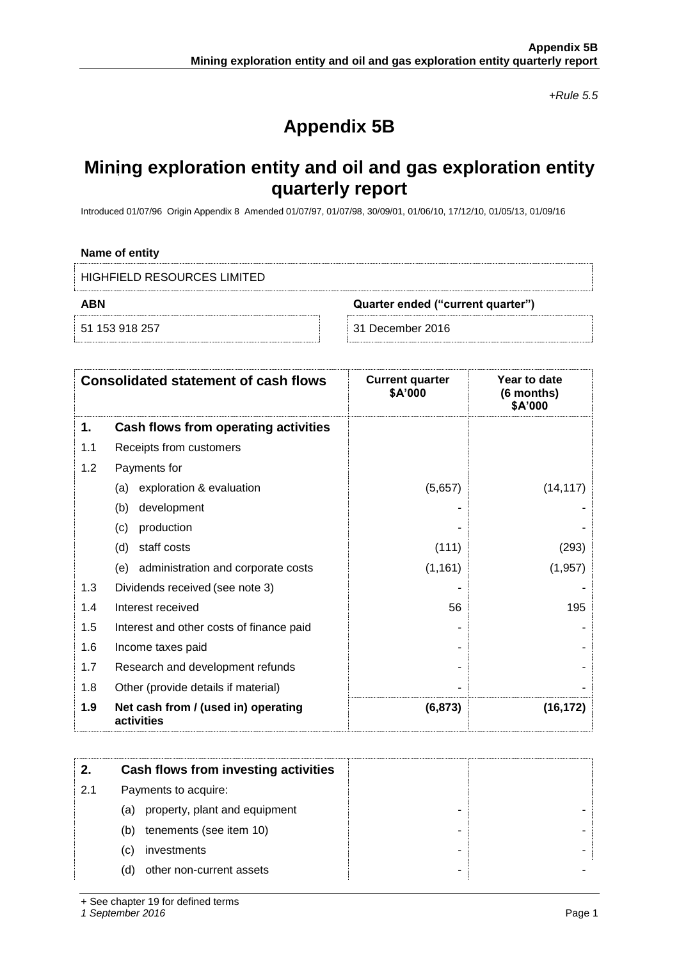*+Rule 5.5*

# **Appendix 5B**

## **Mining exploration entity and oil and gas exploration entity quarterly report**

Introduced 01/07/96 Origin Appendix 8 Amended 01/07/97, 01/07/98, 30/09/01, 01/06/10, 17/12/10, 01/05/13, 01/09/16

#### **Name of entity**

| HIGHFIELD RESOURCES LIMITED |                                   |  |  |  |
|-----------------------------|-----------------------------------|--|--|--|
| ABN                         | Quarter ended ("current quarter") |  |  |  |
| 51 153 918 257              | ⊟ 31 December 2016                |  |  |  |

|     | <b>Consolidated statement of cash flows</b>       | <b>Current quarter</b><br>\$A'000 | Year to date<br>(6 months)<br>\$A'000 |
|-----|---------------------------------------------------|-----------------------------------|---------------------------------------|
| 1.  | Cash flows from operating activities              |                                   |                                       |
| 1.1 | Receipts from customers                           |                                   |                                       |
| 1.2 | Payments for                                      |                                   |                                       |
|     | exploration & evaluation<br>(a)                   | (5,657)                           | (14, 117)                             |
|     | development<br>(b)                                |                                   |                                       |
|     | production<br>(c)                                 |                                   |                                       |
|     | staff costs<br>(d)                                | (111)                             | (293)                                 |
|     | administration and corporate costs<br>(e)         | (1, 161)                          | (1, 957)                              |
| 1.3 | Dividends received (see note 3)                   |                                   |                                       |
| 1.4 | Interest received                                 | 56                                | 195                                   |
| 1.5 | Interest and other costs of finance paid          |                                   |                                       |
| 1.6 | Income taxes paid                                 |                                   |                                       |
| 1.7 | Research and development refunds                  |                                   |                                       |
| 1.8 | Other (provide details if material)               |                                   |                                       |
| 1.9 | Net cash from / (used in) operating<br>activities | (6, 873)                          | (16,172                               |

|     | Cash flows from investing activities |
|-----|--------------------------------------|
| 2.1 | Payments to acquire:                 |
|     | property, plant and equipment<br>(a) |
|     | tenements (see item 10)<br>(b)       |
|     | investments<br>(C)                   |
|     | other non-current assets<br>(d)      |

+ See chapter 19 for defined terms

*1 September 2016* Page 1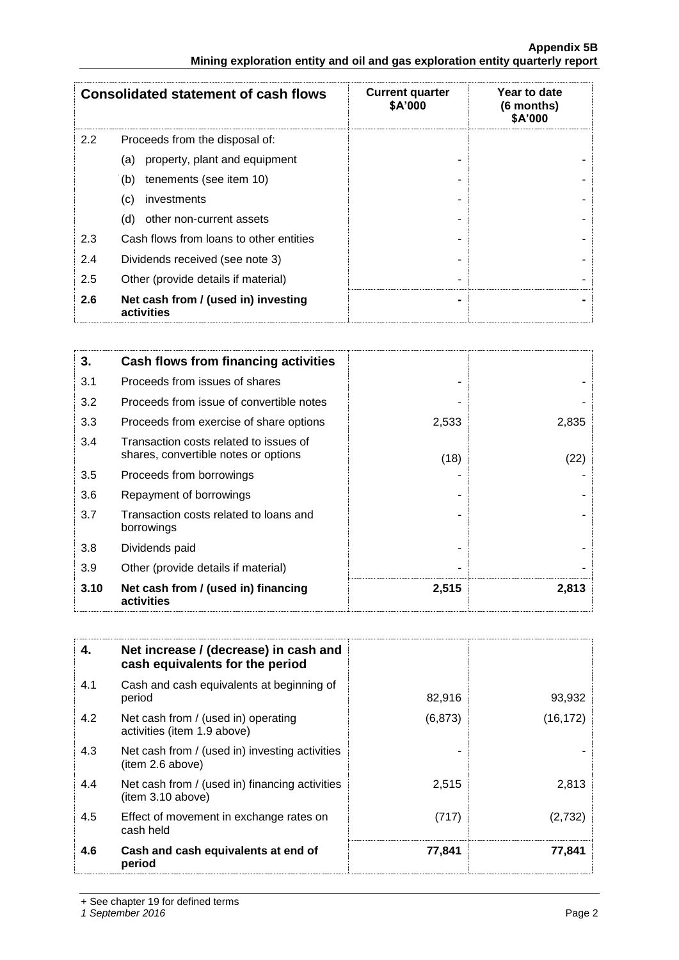|     | <b>Consolidated statement of cash flows</b>       | <b>Current quarter</b><br>\$A'000 | Year to date<br>(6 months)<br>\$A'000 |
|-----|---------------------------------------------------|-----------------------------------|---------------------------------------|
| 2.2 | Proceeds from the disposal of:                    |                                   |                                       |
|     | property, plant and equipment<br>(a)              |                                   |                                       |
|     | tenements (see item 10)<br>(b)                    |                                   |                                       |
|     | (c)<br>investments                                |                                   |                                       |
|     | other non-current assets<br>(d)                   |                                   |                                       |
| 2.3 | Cash flows from loans to other entities           |                                   |                                       |
| 2.4 | Dividends received (see note 3)                   |                                   |                                       |
| 2.5 | Other (provide details if material)               |                                   |                                       |
| 2.6 | Net cash from / (used in) investing<br>activities |                                   |                                       |

| 3.   | Cash flows from financing activities                                           |       |       |
|------|--------------------------------------------------------------------------------|-------|-------|
| 3.1  | Proceeds from issues of shares                                                 |       |       |
| 3.2  | Proceeds from issue of convertible notes                                       |       |       |
| 3.3  | Proceeds from exercise of share options                                        | 2,533 | 2,835 |
| 3.4  | Transaction costs related to issues of<br>shares, convertible notes or options | (18)  | (22)  |
| 3.5  | Proceeds from borrowings                                                       |       |       |
| 3.6  | Repayment of borrowings                                                        |       |       |
| 3.7  | Transaction costs related to loans and<br>borrowings                           |       |       |
| 3.8  | Dividends paid                                                                 |       |       |
| 3.9  | Other (provide details if material)                                            |       |       |
| 3.10 | Net cash from / (used in) financing<br>activities                              | 2,515 | 2,813 |

| 4.  | Net increase / (decrease) in cash and<br>cash equivalents for the period |          |           |
|-----|--------------------------------------------------------------------------|----------|-----------|
| 4.1 | Cash and cash equivalents at beginning of<br>period                      | 82,916   | 93,932    |
| 4.2 | Net cash from / (used in) operating<br>activities (item 1.9 above)       | (6, 873) | (16, 172) |
| 4.3 | Net cash from / (used in) investing activities<br>(item 2.6 above)       |          |           |
| 4.4 | Net cash from / (used in) financing activities<br>(item 3.10 above)      | 2,515    | 2,813     |
| 4.5 | Effect of movement in exchange rates on<br>cash held                     | (717)    | (2,732)   |
| 4.6 | Cash and cash equivalents at end of<br>period                            | 77,841   | 77,841    |

+ See chapter 19 for defined terms

*1 September 2016* Page 2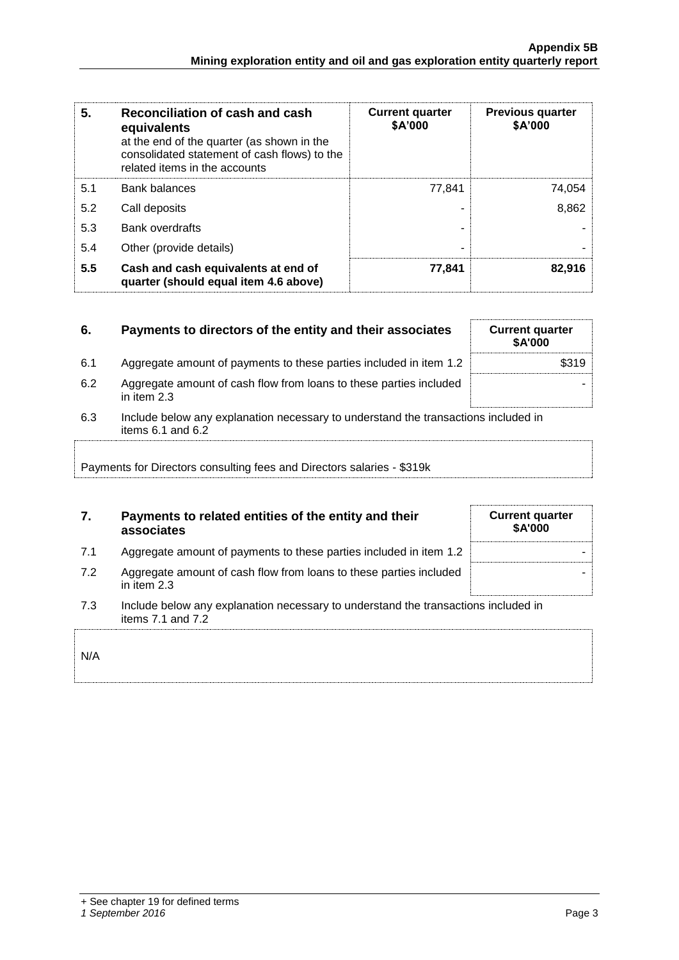| 5.  | Reconciliation of cash and cash<br>equivalents<br>at the end of the quarter (as shown in the<br>consolidated statement of cash flows) to the<br>related items in the accounts | <b>Current quarter</b><br>\$A'000 | <b>Previous quarter</b><br>\$A'000 |
|-----|-------------------------------------------------------------------------------------------------------------------------------------------------------------------------------|-----------------------------------|------------------------------------|
| 5.1 | <b>Bank balances</b>                                                                                                                                                          | 77.841                            | 74,054                             |
| 5.2 | Call deposits                                                                                                                                                                 |                                   | 8,862                              |
| 5.3 | <b>Bank overdrafts</b>                                                                                                                                                        |                                   |                                    |
| 5.4 | Other (provide details)                                                                                                                                                       | -                                 |                                    |
| 5.5 | Cash and cash equivalents at end of<br>quarter (should equal item 4.6 above)                                                                                                  | 77,841                            | 82,916                             |

| 6.  | Payments to directors of the entity and their associates                                                    | <b>Current quarter</b><br><b>\$A'000</b> |
|-----|-------------------------------------------------------------------------------------------------------------|------------------------------------------|
| 6.1 | Aggregate amount of payments to these parties included in item 1.2                                          | \$319                                    |
| 6.2 | Aggregate amount of cash flow from loans to these parties included<br>in item 2.3                           |                                          |
| 6.3 | Include below any explanation necessary to understand the transactions included in<br>items $6.1$ and $6.2$ |                                          |
|     | Payments for Directors consulting fees and Directors salaries - \$319k                                      |                                          |

## **7. Payments to related entities of the entity and their associates**

| Aggregate amount of payments to these parties included in item 1.2 |  |
|--------------------------------------------------------------------|--|
|                                                                    |  |
|                                                                    |  |
|                                                                    |  |

- 7.2 Aggregate amount of cash flow from loans to these parties included in item 2.3
- 7.3 Include below any explanation necessary to understand the transactions included in items 7.1 and 7.2

| N/A |  |  |  |
|-----|--|--|--|
|     |  |  |  |
|     |  |  |  |

| <b>Current quarter</b><br>\$A'000 |  |
|-----------------------------------|--|
|                                   |  |
|                                   |  |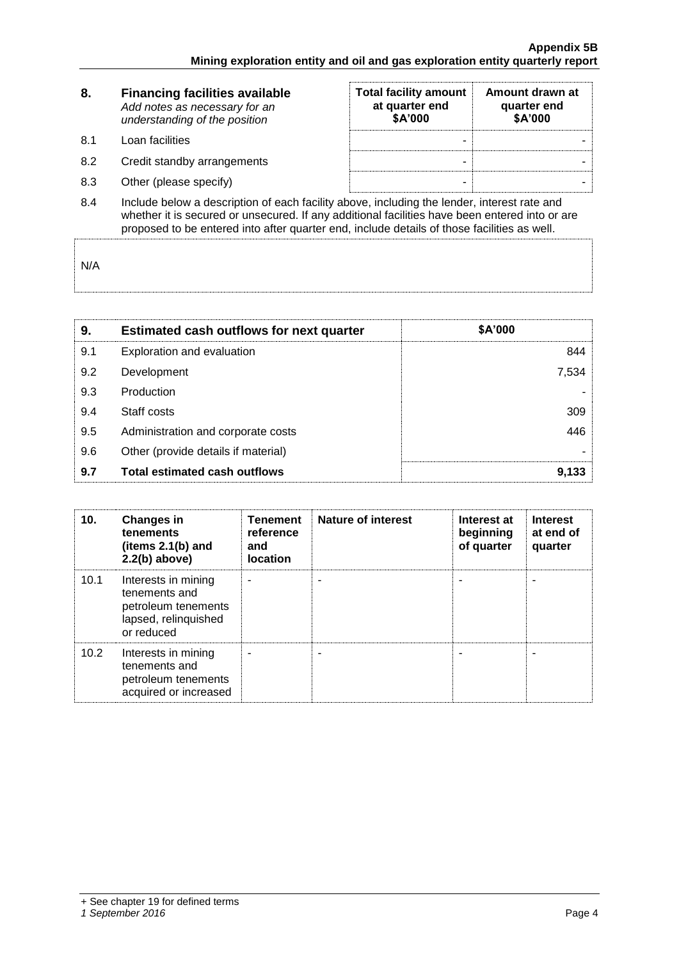| 8.  | <b>Financing facilities available</b><br>Add notes as necessary for an<br>understanding of the position | <b>Total facility amount</b><br>at quarter end<br>\$A'000 | Amount drawn at<br>quarter end<br>\$A'000 |  |  |
|-----|---------------------------------------------------------------------------------------------------------|-----------------------------------------------------------|-------------------------------------------|--|--|
| 8.1 | Loan facilities                                                                                         |                                                           |                                           |  |  |
| 8.2 | Credit standby arrangements                                                                             | -                                                         |                                           |  |  |
| 8.3 | Other (please specify)                                                                                  | -                                                         |                                           |  |  |
| 84  | Include below a description of each facility above including the lender interest rate and               |                                                           |                                           |  |  |

8.4 Include below a description of each facility above, including the lender, interest rate and whether it is secured or unsecured. If any additional facilities have been entered into or are proposed to be entered into after quarter end, include details of those facilities as well.

N/A

| 9.  | <b>Estimated cash outflows for next quarter</b> | \$A'000 |
|-----|-------------------------------------------------|---------|
| 9.1 | Exploration and evaluation                      | 844     |
| 9.2 | Development                                     | 7,534   |
| 9.3 | Production                                      |         |
| 9.4 | Staff costs                                     | 309     |
| 9.5 | Administration and corporate costs              | 446     |
| 9.6 | Other (provide details if material)             |         |
| 9.7 | <b>Total estimated cash outflows</b>            | 9,133   |

| 10.  | <b>Changes in</b><br>tenements<br>(items $2.1(b)$ and<br>$2.2(b)$ above)                          | <b>Tenement</b><br>reference<br>and<br><b>location</b> | <b>Nature of interest</b> | Interest at<br>beginning<br>of quarter | <b>Interest</b><br>at end of<br>quarter |
|------|---------------------------------------------------------------------------------------------------|--------------------------------------------------------|---------------------------|----------------------------------------|-----------------------------------------|
| 10.1 | Interests in mining<br>tenements and<br>petroleum tenements<br>lapsed, relinquished<br>or reduced |                                                        |                           |                                        |                                         |
| 10.2 | Interests in mining<br>tenements and<br>petroleum tenements<br>acquired or increased              |                                                        |                           |                                        |                                         |